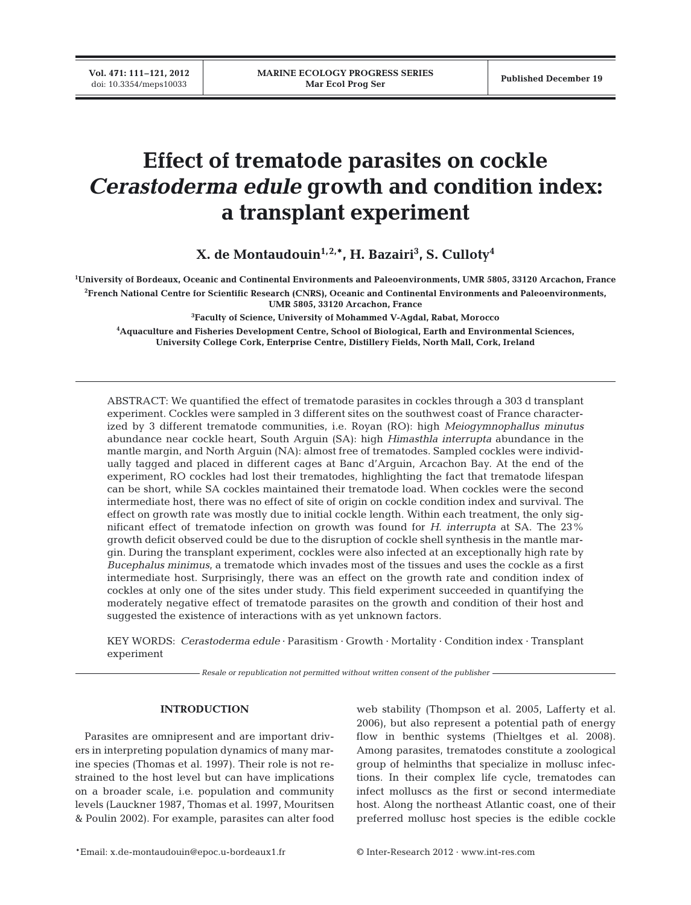# **Effect of trematode parasites on cockle**  *Cerastoderma edule* **growth and condition index: a transplant experiment**

**X. de Montaudouin1,2,\*, H. Bazairi3 , S. Culloty4**

**1 University of Bordeaux, Oceanic and Continental Environments and Paleoenvironments, UMR 5805, 33120 Arcachon, France 2 French National Centre for Scientific Research (CNRS), Oceanic and Continental Environments and Paleoenvironments, UMR 5805, 33120 Arcachon, France**

**3 Faculty of Science, University of Mohammed V-Agdal, Rabat, Morocco 4 Aquaculture and Fisheries Development Centre, School of Biological, Earth and Environmental Sciences, University College Cork, Enterprise Centre, Distillery Fields, North Mall, Cork, Ireland**

ABSTRACT: We quantified the effect of trematode parasites in cockles through a 303 d transplant experiment. Cockles were sampled in 3 different sites on the southwest coast of France characterized by 3 different trematode communities, i.e. Royan (RO): high *Meiogymnophallus minutus* abundance near cockle heart, South Arguin (SA): high *Himasthla interrupta* abundance in the mantle margin, and North Arguin (NA): almost free of trematodes. Sampled cockles were individually tagged and placed in different cages at Banc d'Arguin, Arcachon Bay. At the end of the experiment, RO cockles had lost their trematodes, highlighting the fact that trematode lifespan can be short, while SA cockles maintained their trematode load. When cockles were the second intermediate host, there was no effect of site of origin on cockle condition index and survival. The effect on growth rate was mostly due to initial cockle length. Within each treatment, the only significant effect of trematode infection on growth was found for *H. interrupta* at SA. The 23% growth deficit observed could be due to the disruption of cockle shell synthesis in the mantle margin. During the transplant experiment, cockles were also infected at an exceptionally high rate by *Bucephalus minimus*, a trematode which invades most of the tissues and uses the cockle as a first intermediate host. Surprisingly, there was an effect on the growth rate and condition index of cockles at only one of the sites under study. This field experiment succeeded in quantifying the moderately negative effect of trematode parasites on the growth and condition of their host and suggested the existence of interactions with as yet unknown factors.

KEY WORDS: *Cerastoderma edule* · Parasitism · Growth · Mortality · Condition index · Transplant experiment

*Resale or republication not permitted without written consent of the publisher*

## **INTRODUCTION**

Parasites are omnipresent and are important drivers in interpreting population dynamics of many marine species (Thomas et al. 1997). Their role is not re strained to the host level but can have implications on a broader scale, i.e. population and community levels (Lauckner 1987, Thomas et al. 1997, Mouritsen & Poulin 2002). For example, parasites can alter food

web stability (Thompson et al. 2005, Lafferty et al. 2006), but also represent a potential path of energy flow in benthic systems (Thieltges et al. 2008). Among parasites, trematodes constitute a zoological group of helminths that specialize in mollusc infections. In their complex life cycle, trematodes can infect molluscs as the first or second intermediate host. Along the northeast Atlantic coast, one of their preferred mollusc host species is the edible cockle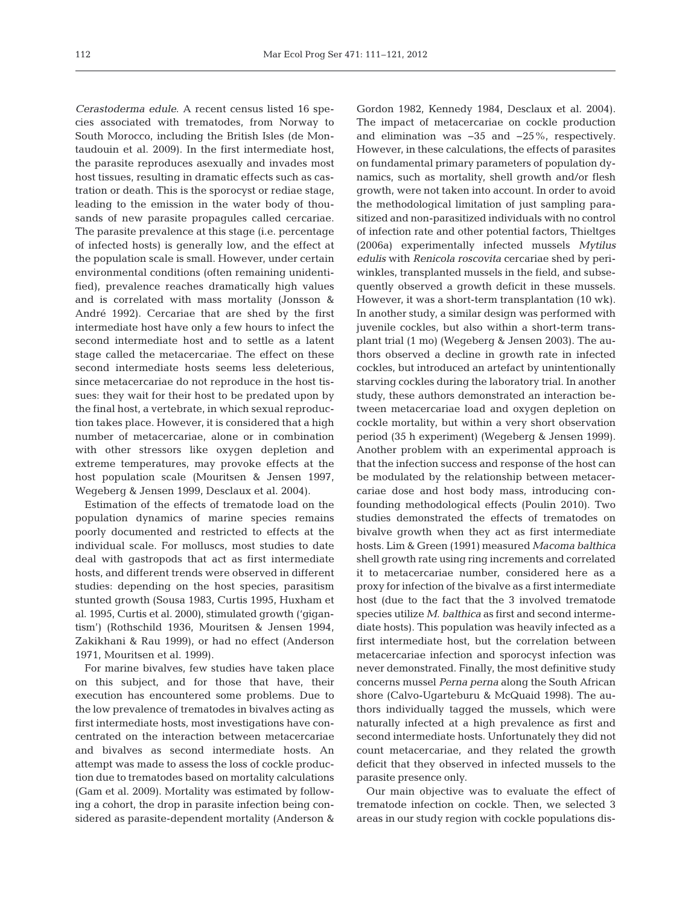*Cerastoderma edule*. A recent census listed 16 species associated with trematodes, from Norway to South Morocco, including the British Isles (de Montaudouin et al. 2009). In the first intermediate host, the parasite reproduces asexually and invades most host tissues, resulting in dramatic effects such as castration or death. This is the sporocyst or rediae stage, leading to the emission in the water body of thousands of new parasite propagules called cercariae. The parasite prevalence at this stage (i.e. percentage of infected hosts) is generally low, and the effect at the population scale is small. However, under certain environmental conditions (often remaining unidentified), prevalence reaches dramatically high values and is correlated with mass mortality (Jonsson & André 1992). Cercariae that are shed by the first intermediate host have only a few hours to infect the second intermediate host and to settle as a latent stage called the metacercariae. The effect on these second intermediate hosts seems less deleterious, since metacercariae do not reproduce in the host tissues: they wait for their host to be predated upon by the final host, a vertebrate, in which sexual reproduction takes place. However, it is considered that a high number of metacercariae, alone or in combination with other stressors like oxygen depletion and extreme temperatures, may provoke effects at the host population scale (Mouritsen & Jensen 1997, Wegeberg & Jensen 1999, Desclaux et al. 2004).

Estimation of the effects of trematode load on the population dynamics of marine species remains poorly documented and restricted to effects at the individual scale. For molluscs, most studies to date deal with gastropods that act as first intermediate hosts, and different trends were observed in different studies: depending on the host species, parasitism stunted growth (Sousa 1983, Curtis 1995, Huxham et al. 1995, Curtis et al. 2000), stimulated growth ('gigan tism') (Rothschild 1936, Mouritsen & Jensen 1994, Zakikhani & Rau 1999), or had no effect (Anderson 1971, Mouritsen et al. 1999).

For marine bivalves, few studies have taken place on this subject, and for those that have, their execution has encountered some problems. Due to the low prevalence of trematodes in bivalves acting as first intermediate hosts, most investigations have concentrated on the interaction between metacercariae and bivalves as second intermediate hosts. An attempt was made to assess the loss of cockle production due to trematodes based on mortality calculations (Gam et al. 2009). Mortality was estimated by following a cohort, the drop in parasite infection being considered as parasite-dependent mortality (Anderson &

Gordon 1982, Kennedy 1984, Desclaux et al. 2004). The impact of metacercariae on cockle production and elimination was −35 and −25%, respectively. However, in these calculations, the effects of parasites on fundamental primary parameters of population dynamics, such as mortality, shell growth and/or flesh growth, were not taken into account. In order to avoid the methodological limitation of just sampling parasitized and non-parasitized individuals with no control of infection rate and other potential factors, Thieltges (2006a) experimentally infected mussels *Mytilus edulis* with *Renicola roscovita* cercariae shed by periwinkles, transplanted mussels in the field, and subsequently observed a growth deficit in these mussels. However, it was a short-term transplantation (10 wk). In another study, a similar design was performed with juvenile cockles, but also within a short-term transplant trial (1 mo) (Wegeberg & Jensen 2003). The authors observed a decline in growth rate in infected cockles, but introduced an artefact by unintentionally starving cockles during the laboratory trial. In another study, these authors demonstrated an interaction between metacercariae load and oxygen depletion on cockle mortality, but within a very short observation period (35 h experiment) (Wegeberg & Jensen 1999). Another problem with an experimental approach is that the infection success and response of the host can be modulated by the relationship between metacercariae dose and host body mass, introducing confounding methodological effects (Poulin 2010). Two studies demonstrated the effects of trematodes on bivalve growth when they act as first intermediate hosts. Lim & Green (1991) measured *Macoma balthica* shell growth rate using ring increments and correlated it to metacercariae number, considered here as a proxy for infection of the bivalve as a first intermediate host (due to the fact that the 3 involved trematode species utilize *M. balthica* as first and second intermediate hosts). This population was heavily infected as a first intermediate host, but the correlation between metacercariae infection and sporocyst infection was never demonstrated. Finally, the most definitive study concerns mussel *Perna perna* along the South African shore (Calvo-Ugarteburu & McQuaid 1998). The authors individually tagged the mussels, which were naturally infected at a high prevalence as first and second intermediate hosts. Unfortunately they did not count metacercariae, and they related the growth deficit that they observed in infected mussels to the parasite presence only.

Our main objective was to evaluate the effect of trematode infection on cockle. Then, we selected 3 areas in our study region with cockle populations dis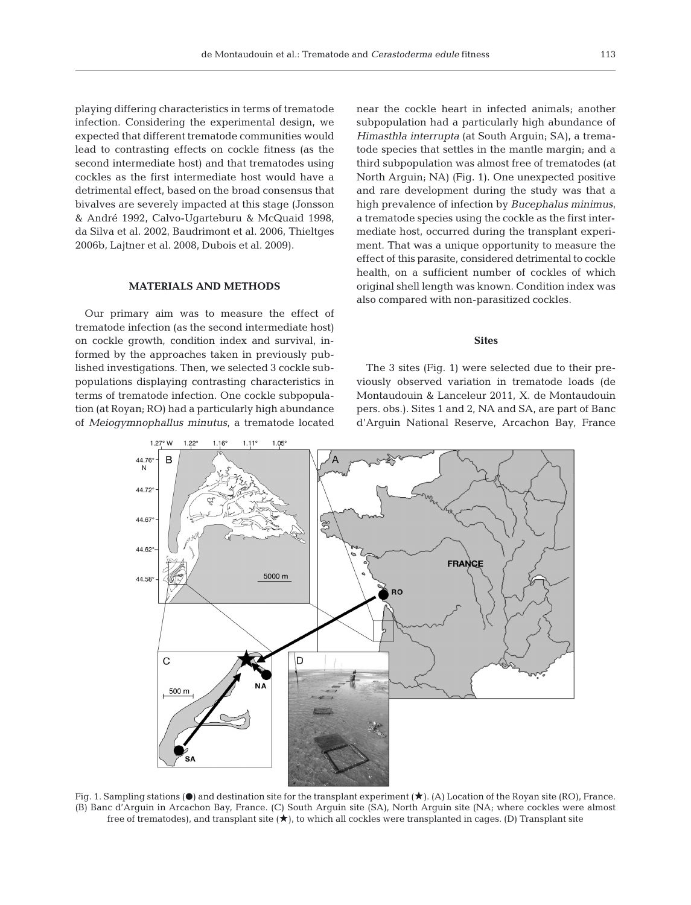playing differing characteristics in terms of trematode infection. Considering the experimental design, we expected that different trematode communities would lead to contrasting effects on cockle fitness (as the second intermediate host) and that trematodes using cockles as the first intermediate host would have a detrimental effect, based on the broad consensus that bivalves are severely impacted at this stage (Jonsson & André 1992, Calvo-Ugarteburu & McQuaid 1998, da Silva et al. 2002, Baudrimont et al. 2006, Thieltges 2006b, Lajtner et al. 2008, Dubois et al. 2009).

#### **MATERIALS AND METHODS**

Our primary aim was to measure the effect of trematode infection (as the second intermediate host) on cockle growth, condition index and survival, informed by the approaches taken in previously published investigations. Then, we selected 3 cockle sub populations displaying contrasting characteristics in terms of trematode infection. One cockle subpopulation (at Royan; RO) had a particularly high abundance of *Meio gymnophallus minutus*, a trematode located

near the cockle heart in infected animals; another subpopulation had a particularly high abundance of *Himasthla interrupta* (at South Arguin; SA), a trematode species that settles in the mantle margin; and a third subpopulation was almost free of trematodes (at North Arguin; NA) (Fig. 1). One unexpected positive and rare development during the study was that a high prevalence of infection by *Bucephalus minimus*, a trematode species using the cockle as the first intermediate host, occurred during the transplant experiment. That was a unique opportunity to measure the effect of this parasite, considered detrimental to cockle health, on a sufficient number of cockles of which original shell length was known. Condition index was also compared with non-parasitized cockles.

#### **Sites**

The 3 sites (Fig. 1) were selected due to their previously observed variation in trematode loads (de Montaudouin & Lanceleur 2011, X. de Montaudouin pers. obs.). Sites 1 and 2, NA and SA, are part of Banc d'Arguin National Reserve, Arcachon Bay, France



Fig. 1. Sampling stations ( $\bullet$ ) and destination site for the transplant experiment ( $\star$ ). (A) Location of the Royan site (RO), France. (B) Banc d'Arguin in Arcachon Bay, France. (C) South Arguin site (SA), North Arguin site (NA; where cockles were almost free of trematodes), and transplant site  $(\star)$ , to which all cockles were transplanted in cages. (D) Transplant site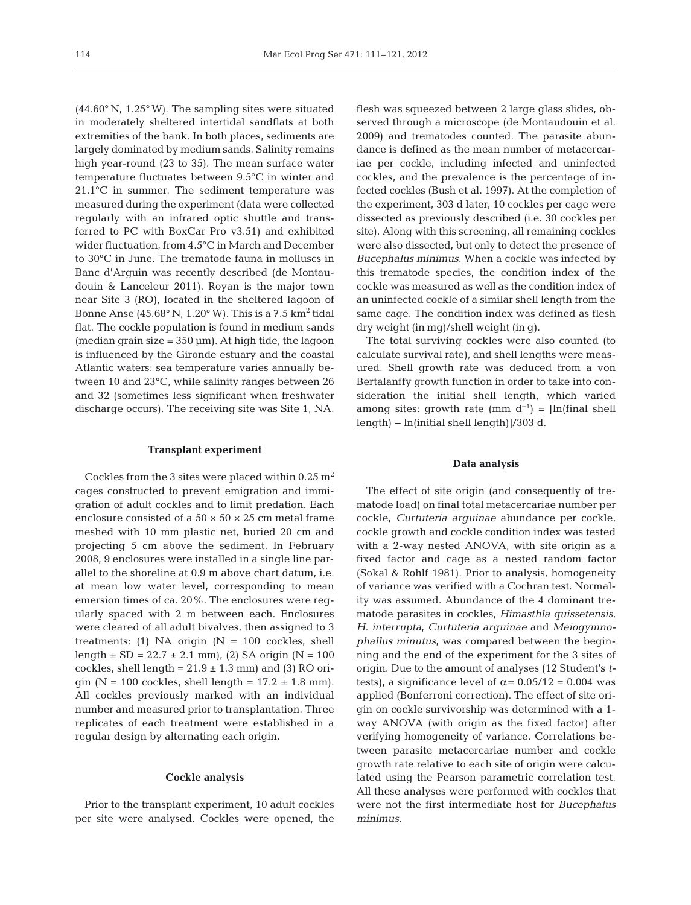(44.60° N, 1.25° W). The sampling sites were situated in moderately sheltered intertidal sandflats at both extremities of the bank. In both places, sediments are largely dominated by medium sands. Salinity remains high year-round (23 to 35). The mean surface water temperature fluctuates between 9.5°C in winter and 21.1°C in summer. The sediment temperature was measured during the experiment (data were collected regularly with an infrared optic shuttle and transferred to PC with BoxCar Pro v3.51) and exhibited wider fluctuation, from 4.5°C in March and December to 30°C in June. The trematode fauna in molluscs in Banc d'Arguin was recently described (de Montaudouin & Lanceleur 2011). Royan is the major town near Site 3 (RO), located in the sheltered lagoon of Bonne Anse  $(45.68^{\circ} N, 1.20^{\circ} W)$ . This is a 7.5 km<sup>2</sup> tidal flat. The cockle population is found in medium sands (median grain size  $= 350 \mu m$ ). At high tide, the lagoon is influenced by the Gironde estuary and the coastal Atlantic waters: sea temperature varies annually between 10 and 23°C, while salinity ranges between 26 and 32 (sometimes less significant when freshwater discharge occurs). The receiving site was Site 1, NA.

# **Transplant experiment**

Cockles from the 3 sites were placed within  $0.25 \text{ m}^2$ cages constructed to prevent emigration and immigration of adult cockles and to limit predation. Each enclosure consisted of a  $50 \times 50 \times 25$  cm metal frame meshed with 10 mm plastic net, buried 20 cm and projecting 5 cm above the sediment. In February 2008, 9 enclosures were installed in a single line parallel to the shoreline at 0.9 m above chart datum, i.e. at mean low water level, corresponding to mean emersion times of ca. 20%. The enclosures were regularly spaced with 2 m between each. Enclosures were cleared of all adult bivalves, then assigned to 3 treatments: (1) NA origin  $(N = 100 \text{ cockles, shell})$ length  $\pm$  SD = 22.7  $\pm$  2.1 mm), (2) SA origin (N = 100 cockles, shell length =  $21.9 \pm 1.3$  mm) and (3) RO origin (N = 100 cockles, shell length =  $17.2 \pm 1.8$  mm). All cockles previously marked with an individual number and measured prior to transplantation. Three replicates of each treatment were established in a regular design by alternating each origin.

#### **Cockle analysis**

Prior to the transplant experiment, 10 adult cockles per site were analysed. Cockles were opened, the flesh was squeezed between 2 large glass slides, ob served through a microscope (de Montaudouin et al. 2009) and trematodes counted. The parasite abundance is defined as the mean number of metacercariae per cockle, including infected and uninfected cockles, and the prevalence is the percentage of infected cockles (Bush et al. 1997). At the completion of the experiment, 303 d later, 10 cockles per cage were dissected as previously described (i.e. 30 cockles per site). Along with this screening, all remaining cockles were also dissected, but only to detect the presence of *Bucephalus minimus*. When a cockle was infected by this trematode species, the condition index of the cockle was measured as well as the condition index of an uninfected cockle of a similar shell length from the same cage. The condition index was defined as flesh dry weight (in mg)/shell weight (in g).

The total surviving cockles were also counted (to calculate survival rate), and shell lengths were measured. Shell growth rate was deduced from a von Bertalanffy growth function in order to take into consideration the initial shell length, which varied among sites: growth rate (mm  $d^{-1}$ ) = [ln(final shell length) − ln(initial shell length)]/303 d.

#### **Data analysis**

The effect of site origin (and consequently of trema tode load) on final total metacercariae number per cockle, *Curtuteria arguinae* abundance per cockle, cockle growth and cockle condition index was tested with a 2-way nested ANOVA, with site origin as a fixed factor and cage as a nested random factor (Sokal & Rohlf 1981). Prior to analysis, homogeneity of variance was verified with a Cochran test. Normality was assumed. Abundance of the 4 dominant tre ma tode parasites in cockles, *Himasthla quissetensis*, *H. interrupta*, *Curtuteria arguinae* and *Meiogymno phallus minutus*, was compared between the beginning and the end of the experiment for the 3 sites of origin. Due to the amount of analyses (12 Student's *t*tests), a significance level of  $\alpha = 0.05/12 = 0.004$  was applied (Bonferroni correction). The effect of site origin on cockle survivorship was determined with a 1 way ANOVA (with origin as the fixed factor) after verifying homogeneity of variance. Correlations be tween parasite metacercariae number and cockle growth rate relative to each site of origin were calculated using the Pearson parametric correlation test. All these analyses were performed with cockles that were not the first intermediate host for *Bucephalus minimus.*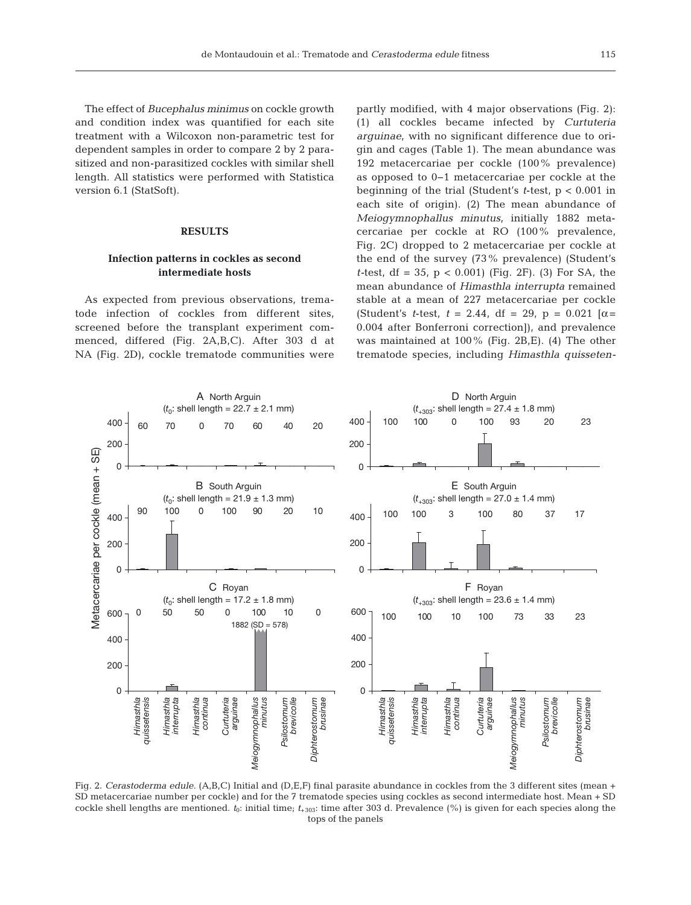The effect of *Bucephalus minimus* on cockle growth and condition index was quantified for each site treatment with a Wilcoxon non-parametric test for dependent samples in order to compare 2 by 2 parasitized and non-parasitized cockles with similar shell length. All statistics were performed with Statistica version 6.1 (StatSoft).

#### **RESULTS**

## **Infection patterns in cockles as second intermediate hosts**

As expected from previous observations, trematode infection of cockles from different sites, screened before the transplant experiment commenced, differed (Fig. 2A,B,C). After 303 d at NA (Fig. 2D), cockle trematode communities were partly modified, with 4 major observations (Fig. 2): (1) all cockles became infected by *Curtuteria arguinae*, with no significant difference due to origin and cages (Table 1). The mean abundance was 192 metacercariae per cockle (100% prevalence) as opposed to 0−1 metacercariae per cockle at the beginning of the trial (Student's *t*-test, p < 0.001 in each site of origin). (2) The mean abundance of *Meiogymnophallus minutus*, initially 1882 metacercariae per cockle at RO (100% prevalence, Fig. 2C) dropped to 2 metacercariae per cockle at the end of the survey (73% prevalence) (Student's *t-*test, df = 35, p < 0.001) (Fig. 2F). (3) For SA, the mean abundance of *Himasthla interrupta* remained stable at a mean of 227 metacercariae per cockle (Student's *t*-test,  $t = 2.44$ , df = 29, p = 0.021 [ $\alpha$  = 0.004 after Bonferroni correction]), and prevalence was maintained at 100% (Fig. 2B,E). (4) The other trematode species, including *Himasthla quisseten-*



Fig. 2. *Cerastoderma edule.* (A,B,C) Initial and (D,E,F) final parasite abundance in cockles from the 3 different sites (mean + SD metacercariae number per cockle) and for the 7 trematode species using cockles as second intermediate host. Mean + SD cockle shell lengths are mentioned.  $t_0$ : initial time;  $t_{+303}$ : time after 303 d. Prevalence (%) is given for each species along the tops of the panels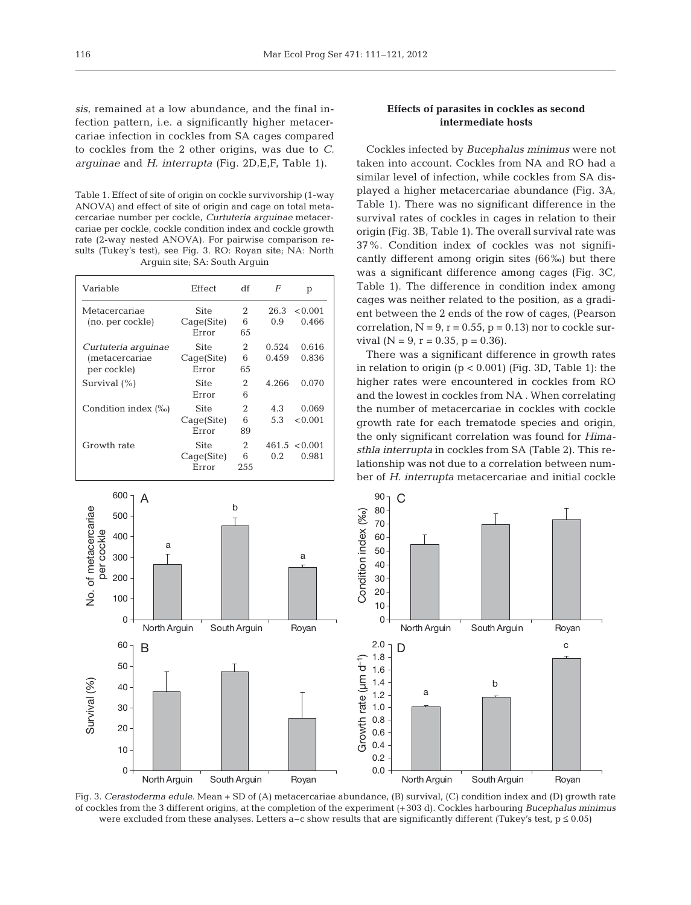sis, remained at a low abundance, and the final infection pattern, i.e. a significantly higher metacercariae infection in cockles from SA cages compared to cockles from the 2 other origins, was due to *C. arguinae* and *H. interrupta* (Fig. 2D,E,F, Table 1).

Table 1. Effect of site of origin on cockle survivorship (1-way ANOVA) and effect of site of origin and cage on total metacercariae number per cockle, *Curtuteria arguinae* metacercariae per cockle, cockle condition index and cockle growth rate (2-way nested ANOVA). For pairwise comparison results (Tukey's test), see Fig. 3. RO: Royan site; NA: North Arguin site; SA: South Arguin

| Variable                                                     | Effect                             | df            | F              | p                          |
|--------------------------------------------------------------|------------------------------------|---------------|----------------|----------------------------|
| Metacercariae<br>(no. per cockle)                            | <b>Site</b><br>Cage(Site)<br>Error | 2<br>6<br>65  | 26.3<br>0.9    | < 0.001<br>0.466           |
| Curtuteria arquinae<br><i>(metacercariae)</i><br>per cockle) | Site<br>Cage(Site)<br>Error        | 2<br>6<br>65  | 0.524<br>0.459 | 0.616<br>0.836             |
| Survival $(\% )$                                             | Site<br>Error                      | 2<br>6        | 4.266          | 0.070                      |
| Condition index (‰)                                          | Site<br>Cage(Site)<br>Error        | 2<br>6<br>89  | 4.3<br>5.3     | 0.069<br>< 0.001           |
| Growth rate                                                  | Site<br>Cage(Site)<br>Error        | 2<br>6<br>255 | 0.2            | $461.5 \le 0.001$<br>0.981 |



## **Effects of parasites in cockles as second intermediate hosts**

Cockles infected by *Bucephalus minimus* were not taken into account. Cockles from NA and RO had a similar level of infection, while cockles from SA displayed a higher metacercariae abundance (Fig. 3A, Table 1). There was no significant difference in the survival rates of cockles in cages in relation to their origin (Fig. 3B, Table 1). The overall survival rate was 37%. Condition index of cockles was not significantly different among origin sites (66‰) but there was a significant difference among cages (Fig. 3C, Table 1). The difference in condition index among cages was neither related to the position, as a gradient between the 2 ends of the row of cages, (Pearson correlation,  $N = 9$ ,  $r = 0.55$ ,  $p = 0.13$ ) nor to cockle survival  $(N = 9, r = 0.35, p = 0.36)$ .

There was a significant difference in growth rates in relation to origin  $(p < 0.001)$  (Fig. 3D, Table 1): the higher rates were encountered in cockles from RO and the lowest in cockles from NA . When correlating the number of metacercariae in cockles with cockle growth rate for each trematode species and origin, the only significant correlation was found for *Hima sthla interrupta* in cockles from SA (Table 2). This relationship was not due to a correlation between number of *H. interrupta* metacercariae and initial cockle



Fig. 3. *Cerastoderma edule.* Mean + SD of (A) metacercariae abundance, (B) survival, (C) condition index and (D) growth rate of cockles from the 3 different origins, at the completion of the experiment (+303 d). Cockles harbouring *Bucephalus minimus* were excluded from these analyses. Letters a–c show results that are significantly different (Tukey's test,  $p \le 0.05$ )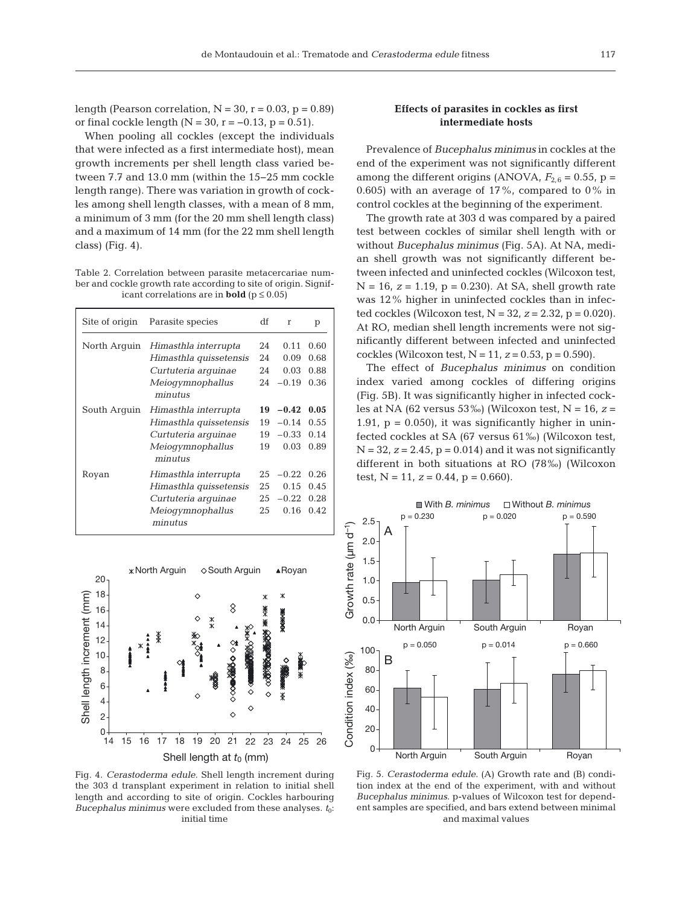length (Pearson correlation,  $N = 30$ ,  $r = 0.03$ ,  $p = 0.89$ ) or final cockle length ( $N = 30$ , r = −0.13, p = 0.51).

When pooling all cockles (except the individuals that were infected as a first intermediate host), mean growth increments per shell length class varied be tween 7.7 and 13.0 mm (within the 15−25 mm cockle length range). There was variation in growth of cockles among shell length classes, with a mean of 8 mm, a minimum of 3 mm (for the 20 mm shell length class) and a maximum of 14 mm (for the 22 mm shell length class) (Fig. 4).

Table 2. Correlation between parasite metacercariae number and cockle growth rate according to site of origin. Significant correlations are in **bold** ( $p \le 0.05$ )

| Site of origin | Parasite species            | df | $\mathbf{r}$ | р    |
|----------------|-----------------------------|----|--------------|------|
| North Arquin   | Himasthla interrupta        | 24 | 0.11         | 0.60 |
|                | Himasthla quissetensis      | 24 | 0.09         | 0.68 |
|                | Curtuteria arquinae         | 24 | 0.03         | 0.88 |
|                | Meiogymnophallus<br>minutus | 24 | $-0.19$      | 0.36 |
| South Arquin   | Himasthla interrupta        | 19 | $-0.42$      | 0.05 |
|                | Himasthla quissetensis      | 19 | $-0.14$      | 0.55 |
|                | Curtuteria arquinae         | 19 | $-0.33$      | 0.14 |
|                | Meiogymnophallus<br>minutus | 19 | 0.03         | 0.89 |
| Royan          | Himasthla interrupta        | 25 | $-0.22$      | 0.26 |
|                | Himasthla quissetensis      | 25 | 0.15         | 0.45 |
|                | Curtuteria arquinae         | 25 | $-0.22$      | 0.28 |
|                | Meiogymnophallus<br>minutus | 25 | 0.16         | 0.42 |



Fig. 4. *Cerastoderma edule.* Shell length increment during the 303 d transplant experiment in relation to initial shell length and according to site of origin. Cockles harbouring *Bucephalus minimus* were excluded from these analyses.  $t_0$ : initial time

# **Effects of parasites in cockles as first intermediate hosts**

Prevalence of *Bucephalus minimus* in cockles at the end of the experiment was not significantly different among the different origins (ANOVA,  $F_{2,6} = 0.55$ , p = 0.605) with an average of  $17\%$ , compared to 0% in control cockles at the beginning of the experiment.

The growth rate at 303 d was compared by a paired test between cockles of similar shell length with or without *Bucephalus minimus* (Fig. 5A). At NA, median shell growth was not significantly different between infected and uninfected cockles (Wilcoxon test, N = 16, *z* = 1.19, p = 0.230). At SA, shell growth rate was 12% higher in uninfected cockles than in infected cockles (Wilcoxon test, N = 32, *z* = 2.32, p = 0.020). At RO, median shell length increments were not significantly different between infected and uninfected cockles (Wilcoxon test,  $N = 11$ ,  $z = 0.53$ ,  $p = 0.590$ ).

The effect of *Bucephalus minimus* on condition index varied among cockles of differing origins (Fig. 5B). It was significantly higher in infected cockles at NA (62 versus 53‰) (Wilcoxon test, N = 16, *z* = 1.91,  $p = 0.050$ , it was significantly higher in uninfected cockles at SA (67 versus 61‰) (Wilcoxon test,  $N = 32$ ,  $z = 2.45$ ,  $p = 0.014$ ) and it was not significantly different in both situations at RO (78‰) (Wilcoxon test,  $N = 11$ ,  $z = 0.44$ ,  $p = 0.660$ .



Fig. 5. *Cerastoderma edule.* (A) Growth rate and (B) condition index at the end of the experiment, with and without *Bucephalus minimus*. p-values of Wilcoxon test for dependent samples are specified, and bars extend between minimal and maximal values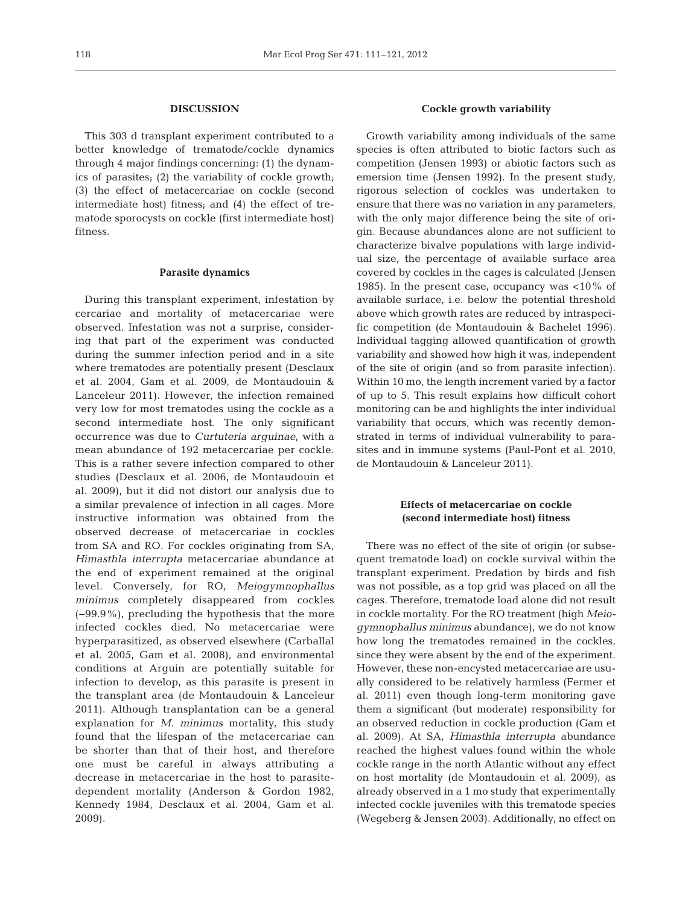#### **DISCUSSION**

This 303 d transplant experiment contributed to a better knowledge of trematode/cockle dynamics through 4 major findings concerning: (1) the dynamics of parasites; (2) the variability of cockle growth; (3) the effect of metacercariae on cockle (second intermediate host) fitness; and (4) the effect of trematode sporocysts on cockle (first intermediate host) fitness.

#### **Parasite dynamics**

During this transplant experiment, infestation by cercariae and mortality of metacercariae were ob served. Infestation was not a surprise, considering that part of the experiment was conducted during the summer infection period and in a site where trematodes are potentially present (Desclaux et al. 2004, Gam et al. 2009, de Montaudouin & Lanceleur 2011). However, the infection remained very low for most trematodes using the cockle as a second intermediate host. The only significant occurrence was due to *Curtuteria arguinae*, with a mean abundance of 192 metacercariae per cockle. This is a rather severe infection compared to other studies (Desclaux et al. 2006, de Montaudouin et al. 2009), but it did not distort our analysis due to a similar prevalence of infection in all cages. More instructive information was obtained from the observed de crease of metacercariae in cockles from SA and RO. For cockles originating from SA, *Himasthla interrupta* metacercariae abundance at the end of experiment remained at the original level. Conversely, for RO, *Meiogymnophallus minimus* completely disappeared from cockles (−99.9%), precluding the hypothesis that the more infected cockles died. No metacercariae were hyperparasitized, as observed elsewhere (Carballal et al. 2005, Gam et al. 2008), and environmental conditions at Arguin are potentially suitable for infection to develop, as this parasite is present in the transplant area (de Montaudouin & Lanceleur 2011). Although transplantation can be a general explanation for *M. minimus* mortality, this study found that the lifespan of the metacercariae can be shorter than that of their host, and therefore one must be careful in always attributing a decrease in metacercariae in the host to parasitedependent mortality (Anderson & Gordon 1982, Kennedy 1984, Desclaux et al. 2004, Gam et al. 2009).

### **Cockle growth variability**

Growth variability among individuals of the same species is often attributed to biotic factors such as competition (Jensen 1993) or abiotic factors such as emersion time (Jensen 1992). In the present study, rigorous selection of cockles was undertaken to ensure that there was no variation in any parameters, with the only major difference being the site of origin. Because abundances alone are not sufficient to characterize bivalve populations with large individual size, the percentage of available surface area covered by cockles in the cages is calculated (Jensen 1985). In the present case, occupancy was <10% of available surface, i.e. below the potential threshold above which growth rates are reduced by intraspecific competition (de Montaudouin & Bachelet 1996). Individual tagging allowed quantification of growth variability and showed how high it was, independent of the site of origin (and so from parasite infection). Within 10 mo, the length increment varied by a factor of up to 5. This result explains how difficult cohort monitoring can be and highlights the inter individual variability that occurs, which was recently demonstrated in terms of individual vulnerability to parasites and in immune systems (Paul-Pont et al. 2010, de Montaudouin & Lanceleur 2011).

### **Effects of metacercariae on cockle (second intermediate host) fitness**

There was no effect of the site of origin (or subsequent trematode load) on cockle survival within the transplant experiment. Predation by birds and fish was not possible, as a top grid was placed on all the cages. Therefore, trematode load alone did not result in cockle mortality. For the RO treatment (high *Meiogymnophallus minimus* abundance), we do not know how long the trematodes remained in the cockles, since they were absent by the end of the experiment. However, these non-encysted metacercariae are usually considered to be relatively harmless (Fermer et al. 2011) even though long-term monitoring gave them a significant (but moderate) responsibility for an observed reduction in cockle production (Gam et al. 2009). At SA, *Himasthla interrupta* abundance reached the highest values found within the whole cockle range in the north Atlantic without any effect on host mortality (de Montaudouin et al. 2009), as already observed in a 1 mo study that experimentally infected cockle juveniles with this trematode species (Wegeberg & Jensen 2003). Additionally, no effect on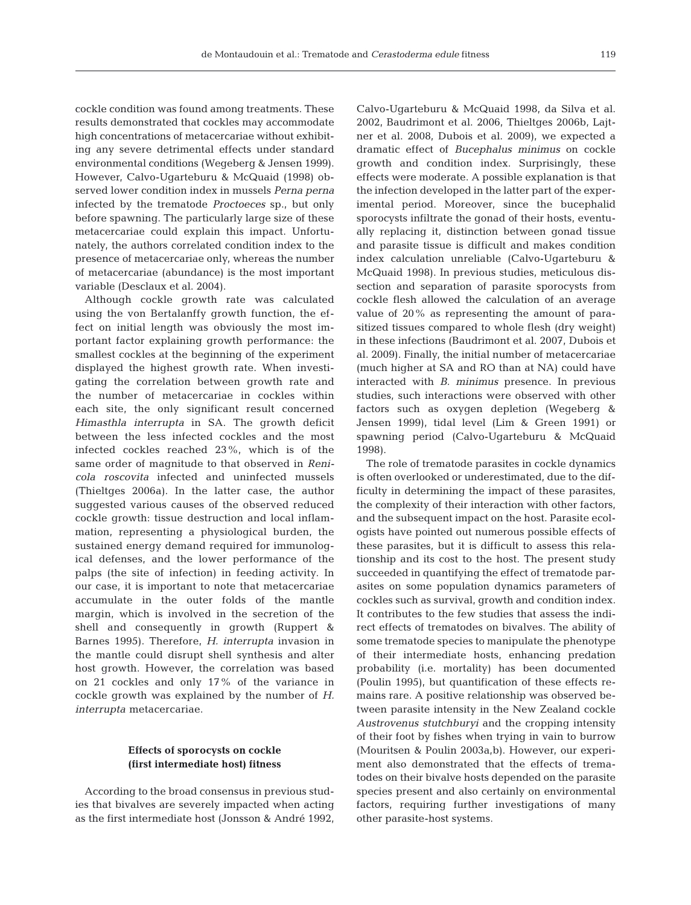cockle condition was found among treatments. These results demonstrated that cockles may accommodate high concentrations of metacercariae without exhibit ing any severe detrimental effects under standard environmental conditions (Wegeberg & Jensen 1999). However, Calvo-Ugarteburu & McQuaid (1998) ob served lower condition index in mussels *Perna perna* infected by the trematode *Proctoeces* sp., but only before spawning. The particularly large size of these metacercariae could explain this impact. Unfortunately, the authors correlated condition index to the presence of metacercariae only, whereas the number of metacercariae (abundance) is the most important variable (Desclaux et al. 2004).

Although cockle growth rate was calculated using the von Bertalanffy growth function, the ef fect on initial length was obviously the most im portant factor explaining growth performance: the smallest cockles at the beginning of the experiment displayed the highest growth rate. When investigating the correlation between growth rate and the number of metacercariae in cockles within each site, the only significant result concerned *Himasthla interrupta* in SA. The growth deficit between the less infected cockles and the most infected cockles reached 23%, which is of the same order of magnitude to that observed in *Renicola roscovita* infected and uninfected mussels (Thieltges 2006a). In the latter case, the author suggested various causes of the observed reduced cockle growth: tissue destruction and local inflammation, representing a physiological burden, the sustained energy demand required for immunological defenses, and the lower performance of the palps (the site of infection) in feeding activity. In our case, it is important to note that metacercariae accumulate in the outer folds of the mantle margin, which is involved in the secretion of the shell and consequently in growth (Ruppert & Barnes 1995). Therefore, *H. interrupta* invasion in the mantle could disrupt shell synthesis and alter host growth. However, the correlation was based on 21 cockles and only 17% of the variance in cockle growth was explained by the number of *H. interrupta* metacercariae.

# **Effects of sporocysts on cockle (first intermediate host) fitness**

According to the broad consensus in previous studies that bivalves are severely impacted when acting as the first intermediate host (Jonsson & André 1992, Calvo-Ugarteburu & McQuaid 1998, da Silva et al. 2002, Baudrimont et al. 2006, Thieltges 2006b, Lajtner et al. 2008, Dubois et al. 2009), we expected a dramatic effect of *Bucephalus minimus* on cockle growth and condition index. Surprisingly, these effects were moderate. A possible explanation is that the infection developed in the latter part of the experimental period. Moreover, since the bucephalid sporocysts infiltrate the gonad of their hosts, eventually replacing it, distinction between gonad tissue and parasite tissue is difficult and makes condition index calculation unreliable (Calvo-Ugarteburu & McQuaid 1998). In previous studies, meticulous dissection and separation of parasite sporocysts from cockle flesh allowed the calculation of an average value of 20% as representing the amount of parasitized tissues compared to whole flesh (dry weight) in these infections (Baudrimont et al. 2007, Dubois et al. 2009). Finally, the initial number of metacercariae (much higher at SA and RO than at NA) could have interacted with *B. minimus* presence. In previous studies, such interactions were observed with other factors such as oxygen depletion (Wegeberg & Jensen 1999), tidal level (Lim & Green 1991) or spawning period (Calvo-Ugarteburu & McQuaid 1998).

The role of trematode parasites in cockle dynamics is often overlooked or underestimated, due to the difficulty in determining the impact of these parasites, the complexity of their interaction with other factors, and the subsequent impact on the host. Parasite ecologists have pointed out numerous possible effects of these parasites, but it is difficult to assess this relationship and its cost to the host. The present study succeeded in quantifying the effect of trematode parasites on some population dynamics parameters of cockles such as survival, growth and condition index. It contributes to the few studies that assess the indirect effects of trematodes on bivalves. The ability of some trematode species to manipulate the phenotype of their intermediate hosts, enhancing predation probability (i.e. mortality) has been documented (Poulin 1995), but quantification of these effects re mains rare. A positive relationship was observed be tween parasite intensity in the New Zealand cockle *Austrovenus stutchburyi* and the cropping intensity of their foot by fishes when trying in vain to burrow (Mouritsen & Poulin 2003a,b). However, our experiment also demonstrated that the effects of trematodes on their bivalve hosts depended on the parasite species present and also certainly on environmental factors, requiring further investigations of many other parasite-host systems.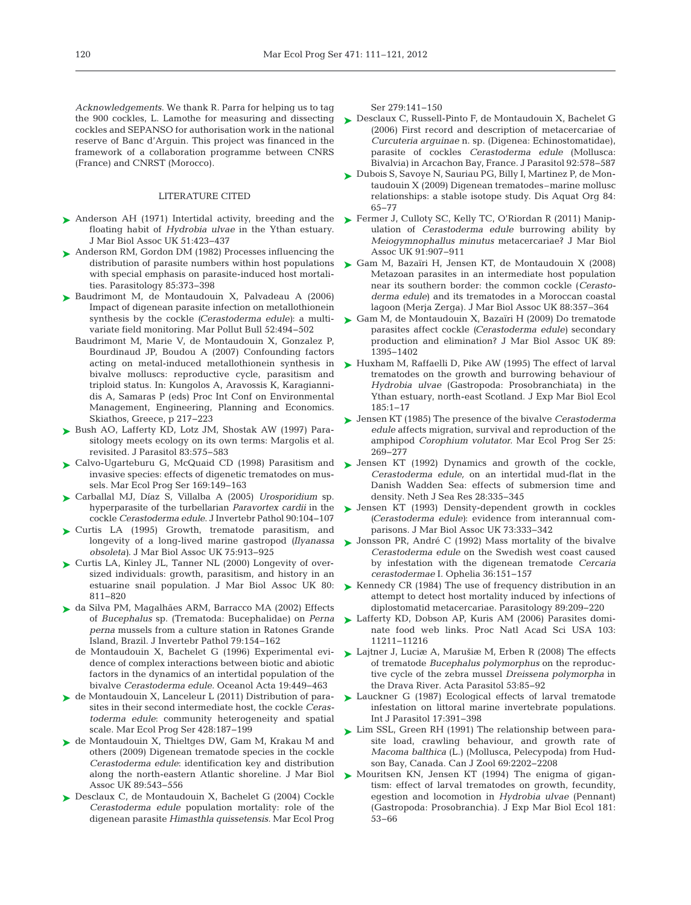*Acknowledgements*. We thank R. Parra for helping us to tag cockles and SEPANSO for authorisation work in the national reserve of Banc d'Arguin. This project was financed in the framework of a collaboration programme between CNRS (France) and CNRST (Morocco).

#### LITERATURE CITED

- ► Anderson AH (1971) Intertidal activity, breeding and the ► Fermer J, Culloty SC, Kelly TC, O'Riordan R (2011) Manipfloating habit of *Hydrobia ulvae* in the Ythan estuary. J Mar Biol Assoc UK 51:423-437
- ► Anderson RM, Gordon DM (1982) Processes influencing the distribution of parasite numbers within host populations with special emphasis on parasite-induced host mortalities. Parasitology 85:373-398
- ► Baudrimont M, de Montaudouin X, Palvadeau A (2006) Impact of digenean parasite infection on metallothionein synthesis by the cockle *(Cerastoderma edule)*: a multivariate field monitoring. Mar Pollut Bull 52: 494−502
	- Baudrimont M, Marie V, de Montaudouin X, Gonzalez P, Bourdinaud JP, Boudou A (2007) Confounding factors acting on metal-induced metallothionein synthesis in bivalve molluscs: reproductive cycle, parasitism and triploid status. In: Kungolos A, Aravossis K, Karagiannidis A, Samaras P (eds) Proc Int Conf on Environmental Management, Engineering, Planning and Economics. Skiathos, Greece, p 217−223
- ▶ Bush AO, Lafferty KD, Lotz JM, Shostak AW (1997) Parasitology meets ecology on its own terms: Margolis et al. revisited. J Parasitol 83: 575−583
- ► Calvo-Ugarteburu G, McQuaid CD (1998) Parasitism and invasive species: effects of digenetic trematodes on mussels. Mar Ecol Prog Ser 169:149-163
- Carballal MJ, Díaz S, Villalba A (2005) *Urosporidium* sp. ➤ hyperparasite of the turbellarian *Paravortex cardii* in the cockle *Cerastoderma edule*. J Invertebr Pathol 90: 104−107
- ▶ Curtis LA (1995) Growth, trematode parasitism, and longevity of a long-lived marine gastropod *(Ilyanassa obsoleta*). J Mar Biol Assoc UK 75:913-925
- ▶ Curtis LA, Kinley JL, Tanner NL (2000) Longevity of oversized individuals: growth, parasitism, and history in an estuarine snail population. J Mar Biol Assoc UK 80: 811−820
- da Silva PM, Magalhães ARM, Barracco MA (2002) Effects ➤ of *Bucephalus* sp. (Trematoda: Bucephalidae) on *Perna perna* mussels from a culture station in Ratones Grande Island, Brazil. J Invertebr Pathol 79: 154−162
	- de Montaudouin X, Bachelet G (1996) Experimental evidence of complex interactions between biotic and abiotic factors in the dynamics of an intertidal population of the bivalve *Cerastoderma edule.* Oceanol Acta 19: 449−463
- ► de Montaudouin X, Lanceleur L (2011) Distribution of parasites in their second intermediate host, the cockle *Ceras*toderma edule: community heterogeneity and spatial scale. Mar Ecol Prog Ser 428: 187−199
- ▶ de Montaudouin X, Thieltges DW, Gam M, Krakau M and others (2009) Digenean trematode species in the cockle Cerastoderma edule: identification key and distribution along the north-eastern Atlantic shoreline. J Mar Biol Assoc UK 89:543-556
- ▶ Desclaux C, de Montaudouin X, Bachelet G (2004) Cockle Cerastoderma edule population mortality: role of the digenean parasite *Himasthla quissetensis.* Mar Ecol Prog

Ser 279: 141−150

- the 900 cockles, L. Lamothe for measuring and dissecting Desclaux C, Russell-Pinto F, de Montaudouin X, Bachelet G ➤ (2006) First record and description of metacercariae of *Curcuteria arguinae* n. sp. (Digenea:Echinostomatidae), parasite of cockles *Cerastoderma edule* (Mollusca: Bivalvia) in Arcachon Bay, France. J Parasitol 92:578-587
	- Dubois S, Savoye N, Sauriau PG, Billy I, Martinez P, de Mon-➤ taudouin X (2009) Digenean trematodes–marine mollusc relationships: a stable isotope study. Dis Aquat Org 84: 65−77
	- ulation of *Cerastoderma edule* burrowing ability by *Meiogymnophallus minutus* metacercariae? J Mar Biol Assoc UK 91:907-911
	- Gam M, Bazaïri H, Jensen KT, de Montaudouin X (2008) ➤ Metazoan parasites in an intermediate host population near its southern border: the common cockle (Cerasto*derma edule*) and its trematodes in a Moroccan coastal lagoon (Merja Zerga). J Mar Biol Assoc UK 88:357-364
	- ► Gam M, de Montaudouin X, Bazaïri H (2009) Do trematode parasites affect cockle *(Cerastoderma edule)* secondary production and elimination? J Mar Biol Assoc UK 89: 1395−1402
	- ► Huxham M, Raffaelli D, Pike AW (1995) The effect of larval trematodes on the growth and burrowing behaviour of *Hydrobia ulvae* (Gastropoda: Prosobranchiata) in the Ythan estuary, north-east Scotland. J Exp Mar Biol Ecol 185: 1−17
	- Jensen KT (1985) The presence of the bivalve *Cerastoderma* ➤ *edule* affects migration, survival and reproduction of the amphipod *Corophium volutator.* Mar Ecol Prog Ser 25: 269−277
	- ▶ Jensen KT (1992) Dynamics and growth of the cockle, *Cerastoderma edule,* on an intertidal mud-flat in the Danish Wadden Sea: effects of submersion time and density. Neth J Sea Res 28:335-345
	- ▶ Jensen KT (1993) Density-dependent growth in cockles *(Cerastoderma edule)*: evidence from interannual comparisons. J Mar Biol Assoc UK 73:333-342
	- ► Jonsson PR, André C (1992) Mass mortality of the bivalve *Cerastoderma edule* on the Swedish west coast caused by infestation with the digenean trematode *Cercaria cerastodermae* I. Ophelia 36: 151−157
	- ► Kennedy CR (1984) The use of frequency distribution in an attempt to detect host mortality induced by infections of diplostomatid metacercariae. Parasitology 89:209-220
	- ► Lafferty KD, Dobson AP, Kuris AM (2006) Parasites dominate food web links. Proc Natl Acad Sci USA 103: 11211−11216
	- ► Lajtner J, Luciæ A, Marušiæ M, Erben R (2008) The effects of trematode *Bucephalus polymorphus* on the reproductive cycle of the zebra mussel *Dreissena polymorpha* in the Drava River. Acta Parasitol 53: 85−92
	- ▶ Lauckner G (1987) Ecological effects of larval trematode infestation on littoral marine invertebrate populations. Int J Parasitol 17: 391−398
	- ► Lim SSL, Green RH (1991) The relationship between parasite load, crawling behaviour, and growth rate of *Macoma balthica* (L.) (Mollusca, Pelecypoda) from Hudson Bay, Canada. Can J Zool 69:2202-2208
	- ▶ Mouritsen KN, Jensen KT (1994) The enigma of gigantism: effect of larval trematodes on growth, fecundity, egestion and locomotion in *Hydrobia ulvae* (Pennant) (Gastropoda: Prosobranchia). J Exp Mar Biol Ecol 181: 53−66